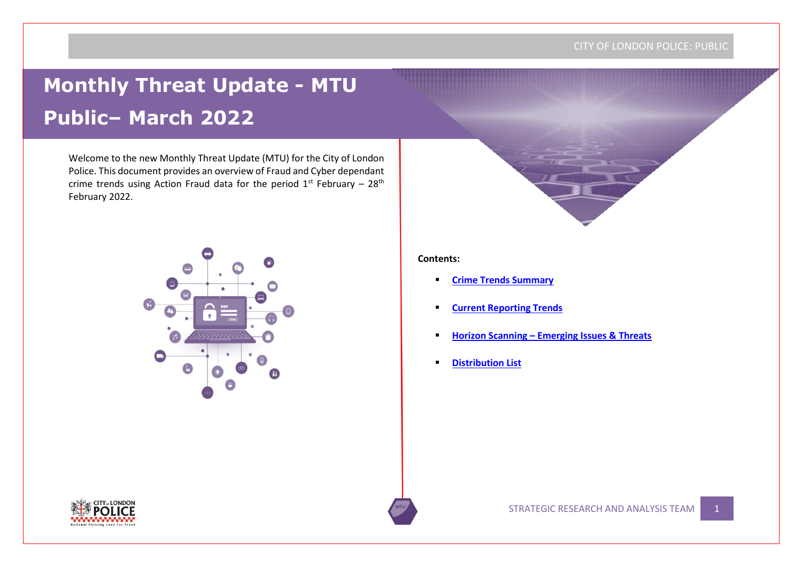## CITY OF LONDON POLICE: PUBLIC

# **Monthly Threat Update - MTU Public– March 2022**

Welcome to the new Monthly Threat Update (MTU) for the City of London Police. This document provides an overview of Fraud and Cyber dependant crime trends using Action Fraud data for the period  $1^{st}$  February –  $28^{th}$ February 2022.



## **Contents:**

- **[Crime Trends Summary](#page-1-0)**
- **Current Reporting Trends**
- **Horizon Scanning – Emerging Issues & Threats**
- **Distribution List**

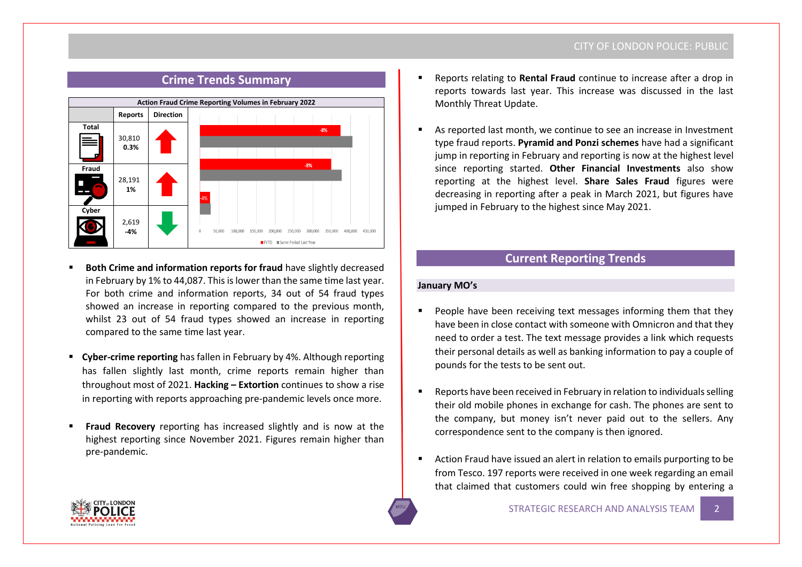## CITY OF LONDON POLICE: PUBLIC

<span id="page-1-0"></span>

- **Both Crime and information reports for fraud have slightly decreased** in February by 1% to 44,087. This is lower than the same time last year. For both crime and information reports, 34 out of 54 fraud types showed an increase in reporting compared to the previous month, whilst 23 out of 54 fraud types showed an increase in reporting compared to the same time last year.
- **Cyber-crime reporting** has fallen in February by 4%. Although reporting has fallen slightly last month, crime reports remain higher than throughout most of 2021. **Hacking – Extortion** continues to show a rise in reporting with reports approaching pre-pandemic levels once more.
- **Fraud Recovery** reporting has increased slightly and is now at the highest reporting since November 2021. Figures remain higher than pre-pandemic.
- Reports relating to **Rental Fraud** continue to increase after a drop in reports towards last year. This increase was discussed in the last Monthly Threat Update.
- As reported last month, we continue to see an increase in Investment type fraud reports. **Pyramid and Ponzi schemes** have had a significant jump in reporting in February and reporting is now at the highest level since reporting started. **Other Financial Investments** also show reporting at the highest level. **Share Sales Fraud** figures were decreasing in reporting after a peak in March 2021, but figures have jumped in February to the highest since May 2021.

## **Current Reporting Trends**

## **January MO's**

- People have been receiving text messages informing them that they have been in close contact with someone with Omnicron and that they need to order a test. The text message provides a link which requests their personal details as well as banking information to pay a couple of pounds for the tests to be sent out.
- Reports have been received in February in relation to individuals selling their old mobile phones in exchange for cash. The phones are sent to the company, but money isn't never paid out to the sellers. Any correspondence sent to the company is then ignored.
- Action Fraud have issued an alert in relation to emails purporting to be from Tesco. 197 reports were received in one week regarding an email that claimed that customers could win free shopping by entering a

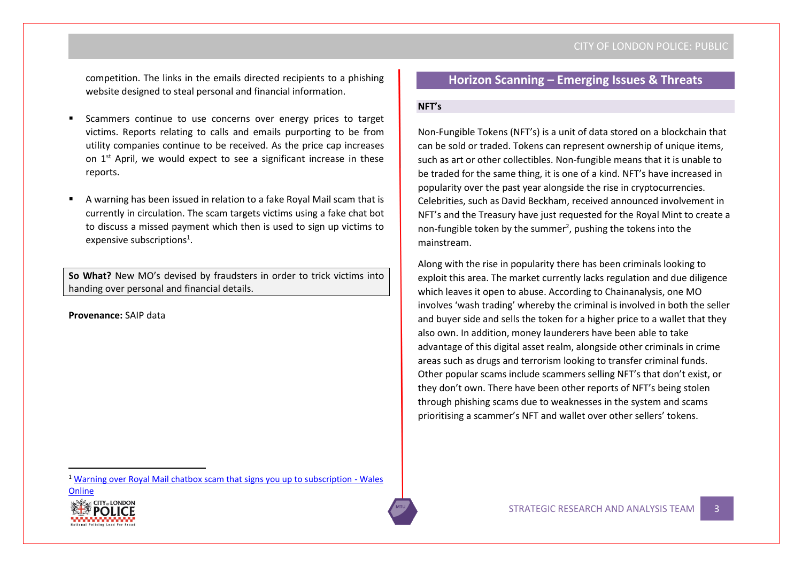competition. The links in the emails directed recipients to a phishing website designed to steal personal and financial information.

- Scammers continue to use concerns over energy prices to target victims. Reports relating to calls and emails purporting to be from utility companies continue to be received. As the price cap increases on 1<sup>st</sup> April, we would expect to see a significant increase in these reports.
- A warning has been issued in relation to a fake Royal Mail scam that is currently in circulation. The scam targets victims using a fake chat bot to discuss a missed payment which then is used to sign up victims to expensive subscriptions<sup>1</sup>.

**So What?** New MO's devised by fraudsters in order to trick victims into handing over personal and financial details.

**Provenance:** SAIP data

<sup>1</sup> [Warning over Royal Mail chatbox scam that signs you up to subscription -](https://www.walesonline.co.uk/news/uk-news/warning-over-royal-mail-chatbox-23417032) Wales

**[Online](https://www.walesonline.co.uk/news/uk-news/warning-over-royal-mail-chatbox-23417032)** 

## **Horizon Scanning – Emerging Issues & Threats**

## **NFT's**

Non-Fungible Tokens (NFT's) is a unit of data stored on a blockchain that can be sold or traded. Tokens can represent ownership of unique items, such as art or other collectibles. Non-fungible means that it is unable to be traded for the same thing, it is one of a kind. NFT's have increased in popularity over the past year alongside the rise in cryptocurrencies. Celebrities, such as David Beckham, received announced involvement in NFT's and the Treasury have just requested for the Royal Mint to create a non-fungible token by the summer<sup>2</sup>, pushing the tokens into the mainstream.

Along with the rise in popularity there has been criminals looking to exploit this area. The market currently lacks regulation and due diligence which leaves it open to abuse. According to Chainanalysis, one MO involves 'wash trading' whereby the criminal is involved in both the seller and buyer side and sells the token for a higher price to a wallet that they also own. In addition, money launderers have been able to take advantage of this digital asset realm, alongside other criminals in crime areas such as drugs and terrorism looking to transfer criminal funds. Other popular scams include scammers selling NFT's that don't exist, or they don't own. There have been other reports of NFT's being stolen through phishing scams due to weaknesses in the system and scams prioritising a scammer's NFT and wallet over other sellers' tokens.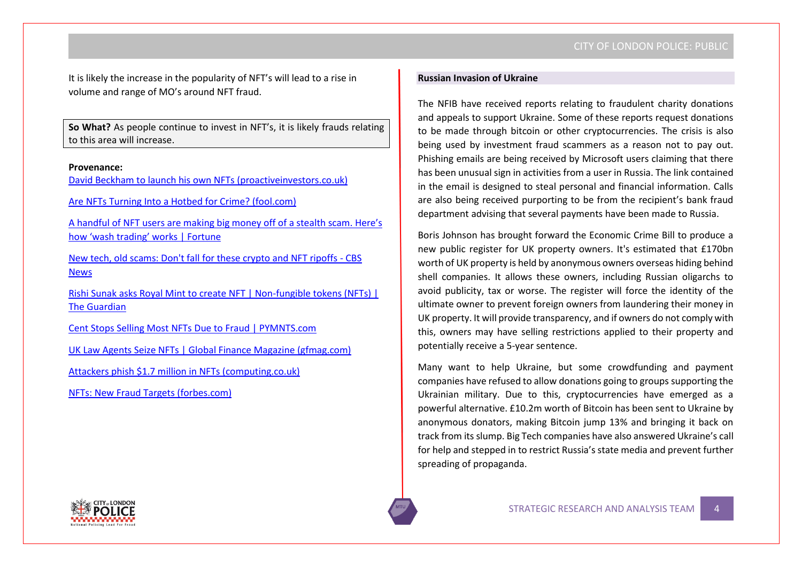It is likely the increase in the popularity of NFT's will lead to a rise in volume and range of MO's around NFT fraud.

**So What?** As people continue to invest in NFT's, it is likely frauds relating to this area will increase.

## **Provenance:**

[David Beckham to launch his own NFTs \(proactiveinvestors.co.uk\)](https://www.proactiveinvestors.co.uk/companies/news/977831/david-beckham-to-launch-his-own-nfts-977831.html)

[Are NFTs Turning Into a Hotbed for Crime? \(fool.com\)](https://www.fool.com/the-ascent/cryptocurrency/articles/are-nfts-turning-into-a-hotbed-for-crime/#:~:text=NFT%20crime%20is%20increasing%2C%20but%20slowly%20and%20mainly,which%20are%3A%20%22wash%20sales%22%20and%20money%20laundering%20%28ML%29.)

[A handful of NFT users are making big money off of](https://fortune.com/2022/02/04/nft-wash-trade-scam-millions/) a stealth scam. Here's [how 'wash trading' works | Fortune](https://fortune.com/2022/02/04/nft-wash-trade-scam-millions/)

[New tech, old scams: Don't fall for these crypto and NFT ripoffs -](https://www.cbsnews.com/news/cryptocurrency-nft-scams/) CBS [News](https://www.cbsnews.com/news/cryptocurrency-nft-scams/)

[Rishi Sunak asks Royal Mint to create NFT | Non-fungible tokens \(NFTs\) |](https://www.theguardian.com/technology/2022/apr/04/rishi-sunak-asks-royal-mint-to-create-nft)  [The Guardian](https://www.theguardian.com/technology/2022/apr/04/rishi-sunak-asks-royal-mint-to-create-nft)

[Cent Stops Selling Most NFTs Due to Fraud | PYMNTS.com](https://www.pymnts.com/nfts/2022/emarketplace-cent-stops-selling-most-nfts-due-to-fraud/)

[UK Law Agents Seize NFTs | Global Finance Magazine \(gfmag.com\)](https://www.gfmag.com/magazine/march-2022/uk-law-enforcement-seize-nfts)

[Attackers phish \\$1.7 million in NFTs \(computing.co.uk\)](https://www.computing.co.uk/news/4045254/attackers-phish-usd-million-nfts?utm_medium=email&utm_id=b3117c499f0f301b0da8fe1b38d14ed3&utm_content=%0A%20%20%20%20%20%20%20%20Attackers%20phish%20%241.7%20million%20in%20NFTs%0A%20%20%20%20%20%20&utm_campaign=CTG%20Daily%2002%20V2&utm_source=CTG%20newsletters%20V2&utm_term=MJ%20ALLEN%20GROUP%20OF%20COMPANIES)

[NFTs: New Fraud Targets \(forbes.com\)](https://www.forbes.com/sites/davidbirch/2022/02/20/nfts-new-fraud-targets/?sh=37b692074f37)

#### **Russian Invasion of Ukraine**

The NFIB have received reports relating to fraudulent charity donations and appeals to support Ukraine. Some of these reports request donations to be made through bitcoin or other cryptocurrencies. The crisis is also being used by investment fraud scammers as a reason not to pay out. Phishing emails are being received by Microsoft users claiming that there has been unusual sign in activities from a user in Russia. The link contained in the email is designed to steal personal and financial information. Calls are also being received purporting to be from the recipient's bank fraud department advising that several payments have been made to Russia.

Boris Johnson has brought forward the Economic Crime Bill to produce a new public register for UK property owners. It's estimated that £170bn worth of UK property is held by anonymous owners overseas hiding behind shell companies. It allows these owners, including Russian oligarchs to avoid publicity, tax or worse. The register will force the identity of the ultimate owner to prevent foreign owners from laundering their money in UK property. It will provide transparency, and if owners do not comply with this, owners may have selling restrictions applied to their property and potentially receive a 5-year sentence.

Many want to help Ukraine, but some crowdfunding and payment companies have refused to allow donations going to groups supporting the Ukrainian military. Due to this, cryptocurrencies have emerged as a powerful alternative. £10.2m worth of Bitcoin has been sent to Ukraine by anonymous donators, making Bitcoin jump 13% and bringing it back on track from its slump. Big Tech companies have also answered Ukraine's call for help and stepped in to restrict Russia's state media and prevent further spreading of propaganda.

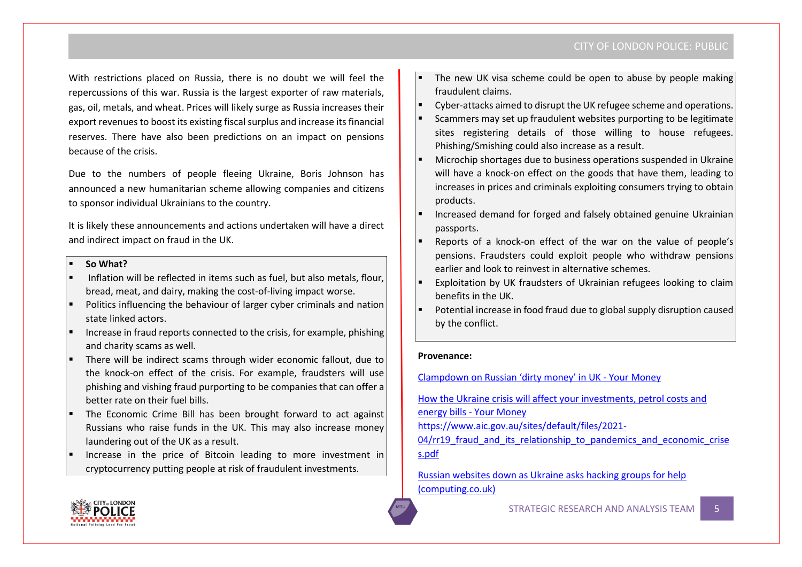With restrictions placed on Russia, there is no doubt we will feel the repercussions of this war. Russia is the largest exporter of raw materials, gas, oil, metals, and wheat. Prices will likely surge as Russia increases their export revenues to boost its existing fiscal surplus and increase its financial reserves. There have also been predictions on an impact on pensions because of the crisis.

Due to the numbers of people fleeing Ukraine, Boris Johnson has announced a new humanitarian scheme allowing companies and citizens to sponsor individual Ukrainians to the country.

It is likely these announcements and actions undertaken will have a direct and indirect impact on fraud in the UK.

## ▪ **So What?**

- Inflation will be reflected in items such as fuel, but also metals, flour, bread, meat, and dairy, making the cost-of-living impact worse.
- Politics influencing the behaviour of larger cyber criminals and nation state linked actors.
- Increase in fraud reports connected to the crisis, for example, phishing and charity scams as well.
- There will be indirect scams through wider economic fallout, due to the knock-on effect of the crisis. For example, fraudsters will use phishing and vishing fraud purporting to be companies that can offer a better rate on their fuel bills.
- The Economic Crime Bill has been brought forward to act against Russians who raise funds in the UK. This may also increase money laundering out of the UK as a result.
- Increase in the price of Bitcoin leading to more investment in cryptocurrency putting people at risk of fraudulent investments.
- The new UK visa scheme could be open to abuse by people making fraudulent claims.
- Cyber-attacks aimed to disrupt the UK refugee scheme and operations.
- Scammers may set up fraudulent websites purporting to be legitimate sites registering details of those willing to house refugees. Phishing/Smishing could also increase as a result.
- Microchip shortages due to business operations suspended in Ukraine will have a knock-on effect on the goods that have them, leading to increases in prices and criminals exploiting consumers trying to obtain products.
- Increased demand for forged and falsely obtained genuine Ukrainian passports.
- Reports of a knock-on effect of the war on the value of people's pensions. Fraudsters could exploit people who withdraw pensions earlier and look to reinvest in alternative schemes.
- Exploitation by UK fraudsters of Ukrainian refugees looking to claim benefits in the UK.
- Potential increase in food fraud due to global supply disruption caused by the conflict.

## **Provenance:**

[Clampdown on Russian 'dirty money' in UK](https://www.yourmoney.com/saving-banking/clampdown-on-russian-dirty-money-in-uk/) - Your Money

[How the Ukraine crisis will affect your investments, petrol costs and](https://www.yourmoney.com/investing/how-the-ukraine-crisis-will-affect-your-investments-petrol-costs-and-energy-bills/)  [energy bills -](https://www.yourmoney.com/investing/how-the-ukraine-crisis-will-affect-your-investments-petrol-costs-and-energy-bills/) Your Money

[https://www.aic.gov.au/sites/default/files/2021-](https://www.aic.gov.au/sites/default/files/2021-04/rr19_fraud_and_its_relationship_to_pandemics_and_economic_crises.pdf)

04/rr19 fraud and its relationship to pandemics and economic crise [s.pdf](https://www.aic.gov.au/sites/default/files/2021-04/rr19_fraud_and_its_relationship_to_pandemics_and_economic_crises.pdf)

[Russian websites down as Ukraine asks hacking groups for help](https://www.computing.co.uk/news/4045526/russian-websites-ukraine-hacking-help?utm_medium=email&utm_id=b3117c499f0f301b0da8fe1b38d14ed3&utm_content=%0A%20%20%20%20%20%20%20%20Russian%20websites%20down%20as%20Ukraine%20asks%20hacking%20groups%20for%20help%0A%20%20%20%20%20%20&utm_campaign=CTG%20Daily%20V2&utm_source=CTG%20newsletters%20V2&utm_term=MJ%20ALLEN%20GROUP%20OF%20COMPANIES)  [\(computing.co.uk\)](https://www.computing.co.uk/news/4045526/russian-websites-ukraine-hacking-help?utm_medium=email&utm_id=b3117c499f0f301b0da8fe1b38d14ed3&utm_content=%0A%20%20%20%20%20%20%20%20Russian%20websites%20down%20as%20Ukraine%20asks%20hacking%20groups%20for%20help%0A%20%20%20%20%20%20&utm_campaign=CTG%20Daily%20V2&utm_source=CTG%20newsletters%20V2&utm_term=MJ%20ALLEN%20GROUP%20OF%20COMPANIES)